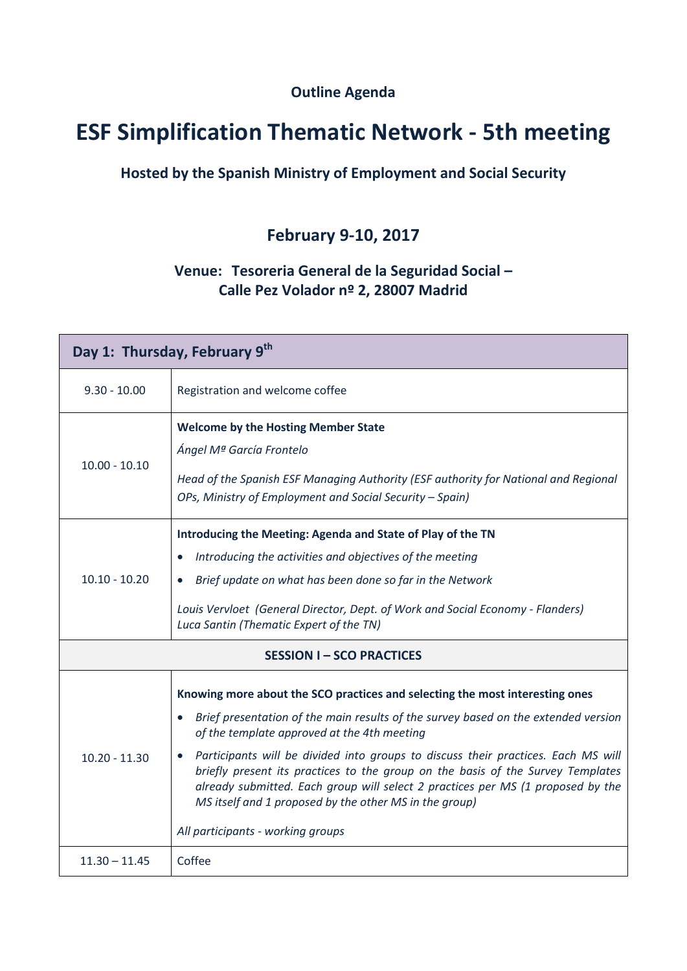**Outline Agenda**

## **ESF Simplification Thematic Network - 5th meeting**

## **Hosted by the Spanish Ministry of Employment and Social Security**

## **February 9-10, 2017**

## **Venue: Tesoreria General de la Seguridad Social – Calle Pez Volador nº 2, 28007 Madrid**

| Day 1: Thursday, February 9th  |                                                                                                                                                                                                                                                                                                                                                                                                                                                                                                                                                                             |  |
|--------------------------------|-----------------------------------------------------------------------------------------------------------------------------------------------------------------------------------------------------------------------------------------------------------------------------------------------------------------------------------------------------------------------------------------------------------------------------------------------------------------------------------------------------------------------------------------------------------------------------|--|
| $9.30 - 10.00$                 | Registration and welcome coffee                                                                                                                                                                                                                                                                                                                                                                                                                                                                                                                                             |  |
| $10.00 - 10.10$                | <b>Welcome by the Hosting Member State</b><br>Ángel Mª García Frontelo<br>Head of the Spanish ESF Managing Authority (ESF authority for National and Regional<br>OPs, Ministry of Employment and Social Security - Spain)                                                                                                                                                                                                                                                                                                                                                   |  |
| $10.10 - 10.20$                | Introducing the Meeting: Agenda and State of Play of the TN<br>Introducing the activities and objectives of the meeting<br>$\bullet$<br>Brief update on what has been done so far in the Network<br>Louis Vervloet (General Director, Dept. of Work and Social Economy - Flanders)<br>Luca Santin (Thematic Expert of the TN)                                                                                                                                                                                                                                               |  |
| <b>SESSION I-SCO PRACTICES</b> |                                                                                                                                                                                                                                                                                                                                                                                                                                                                                                                                                                             |  |
| $10.20 - 11.30$                | Knowing more about the SCO practices and selecting the most interesting ones<br>Brief presentation of the main results of the survey based on the extended version<br>of the template approved at the 4th meeting<br>Participants will be divided into groups to discuss their practices. Each MS will<br>briefly present its practices to the group on the basis of the Survey Templates<br>already submitted. Each group will select 2 practices per MS (1 proposed by the<br>MS itself and 1 proposed by the other MS in the group)<br>All participants - working groups |  |
| $11.30 - 11.45$                | Coffee                                                                                                                                                                                                                                                                                                                                                                                                                                                                                                                                                                      |  |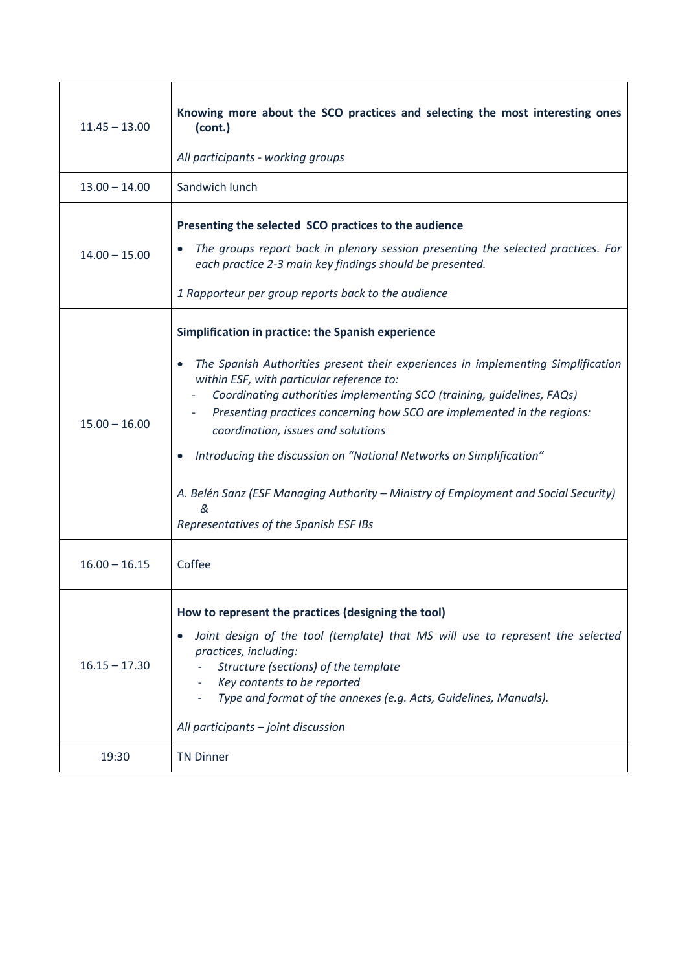| $11.45 - 13.00$ | Knowing more about the SCO practices and selecting the most interesting ones<br>(cont.)<br>All participants - working groups                                                                                                                                                                                                                                                                                                                                                                                                                                                                             |
|-----------------|----------------------------------------------------------------------------------------------------------------------------------------------------------------------------------------------------------------------------------------------------------------------------------------------------------------------------------------------------------------------------------------------------------------------------------------------------------------------------------------------------------------------------------------------------------------------------------------------------------|
| $13.00 - 14.00$ | Sandwich lunch                                                                                                                                                                                                                                                                                                                                                                                                                                                                                                                                                                                           |
| $14.00 - 15.00$ | Presenting the selected SCO practices to the audience<br>The groups report back in plenary session presenting the selected practices. For<br>each practice 2-3 main key findings should be presented.<br>1 Rapporteur per group reports back to the audience                                                                                                                                                                                                                                                                                                                                             |
| $15.00 - 16.00$ | Simplification in practice: the Spanish experience<br>The Spanish Authorities present their experiences in implementing Simplification<br>$\bullet$<br>within ESF, with particular reference to:<br>Coordinating authorities implementing SCO (training, guidelines, FAQs)<br>Presenting practices concerning how SCO are implemented in the regions:<br>coordination, issues and solutions<br>Introducing the discussion on "National Networks on Simplification"<br>A. Belén Sanz (ESF Managing Authority – Ministry of Employment and Social Security)<br>&<br>Representatives of the Spanish ESF IBs |
| $16.00 - 16.15$ | Coffee                                                                                                                                                                                                                                                                                                                                                                                                                                                                                                                                                                                                   |
| $16.15 - 17.30$ | How to represent the practices (designing the tool)<br>Joint design of the tool (template) that MS will use to represent the selected<br>practices, including:<br>Structure (sections) of the template<br>Key contents to be reported<br>Type and format of the annexes (e.g. Acts, Guidelines, Manuals).<br>All participants - joint discussion                                                                                                                                                                                                                                                         |
| 19:30           | <b>TN Dinner</b>                                                                                                                                                                                                                                                                                                                                                                                                                                                                                                                                                                                         |